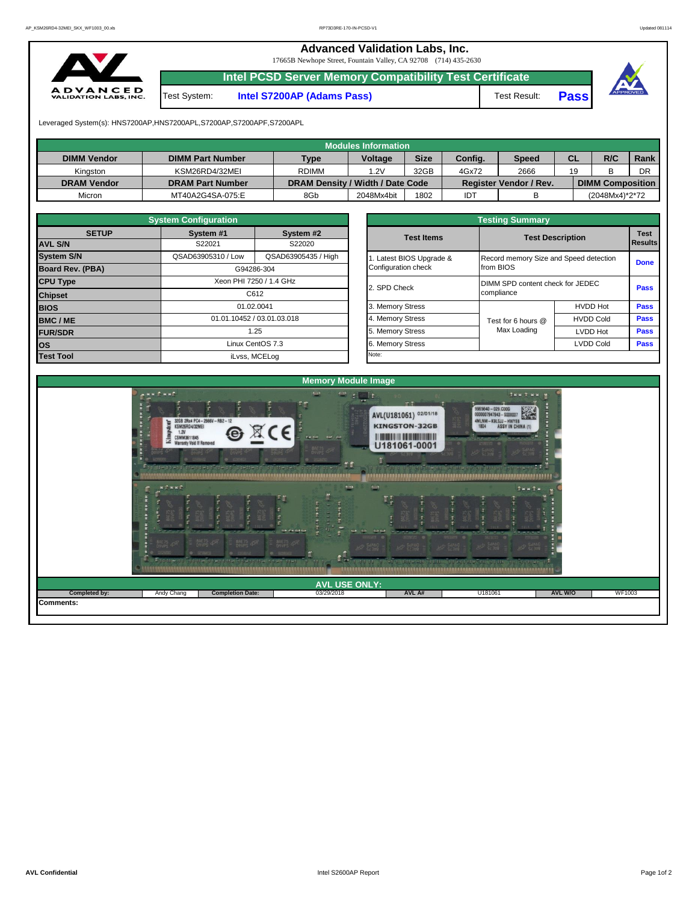**Advanced Validation Labs, Inc.** 

17665B Newhope Street, Fountain Valley, CA 92708 (714) 435-2630



**Intel PCSD Server Memory Compatibility Test Certificate**

Test System: **Intel S7200AP (Adams Pass)** Test Result: **Pass**





Leveraged System(s): HNS7200AP,HNS7200APL,S7200AP,S7200APF,S7200APL

|                    |                         |                                  | Modules Information |             |         |                               |    |                         |      |
|--------------------|-------------------------|----------------------------------|---------------------|-------------|---------|-------------------------------|----|-------------------------|------|
| <b>DIMM Vendor</b> | <b>DIMM Part Number</b> | <b>Type</b>                      | <b>Voltage</b>      | <b>Size</b> | Config. | Speed                         | CL | R/C                     | Rank |
| Kinaston           | KSM26RD4/32MEI          | <b>RDIMM</b>                     | .2V                 | 32GB        | 4Gx72   | 2666                          | 19 |                         | DR   |
| <b>DRAM Vendor</b> | <b>DRAM Part Number</b> | DRAM Density / Width / Date Code |                     |             |         | <b>Register Vendor / Rev.</b> |    | <b>DIMM Composition</b> |      |
| Micron             | MT40A2G4SA-075:E        | 8Gb                              | 2048Mx4bit          | 1802        | IDT     |                               |    | (2048Mx4)*2*72          |      |

|                   | <b>System Configuration</b> |                            |  |                       |                                  |                                        |             |  |  |  |
|-------------------|-----------------------------|----------------------------|--|-----------------------|----------------------------------|----------------------------------------|-------------|--|--|--|
| <b>SETUP</b>      | System #1                   | System #2                  |  | <b>Test Items</b>     |                                  | <b>Test Description</b>                |             |  |  |  |
| <b>AVL S/N</b>    | S22021                      | S22020                     |  |                       |                                  |                                        |             |  |  |  |
| <b>System S/N</b> | QSAD63905310 / Low          | QSAD63905435 / High        |  | Latest BIOS Upgrade & |                                  | Record memory Size and Speed detection |             |  |  |  |
| Board Rev. (PBA)  |                             | G94286-304                 |  | Configuration check   | from BIOS                        | <b>Done</b>                            |             |  |  |  |
| <b>CPU Type</b>   |                             | Xeon PHI 7250 / 1.4 GHz    |  | 2. SPD Check          | DIMM SPD content check for JEDEC |                                        | <b>Pass</b> |  |  |  |
| <b>Chipset</b>    |                             | C612                       |  |                       | compliance                       |                                        |             |  |  |  |
| <b>BIOS</b>       |                             | 01.02.0041                 |  | 3. Memory Stress      |                                  | <b>HVDD Hot</b>                        | <b>Pass</b> |  |  |  |
| <b>BMC/ME</b>     |                             | 01.01.10452 / 03.01.03.018 |  | 4. Memory Stress      | Test for 6 hours @               | <b>HVDD Cold</b>                       | <b>Pass</b> |  |  |  |
| <b>FUR/SDR</b>    |                             | 1.25                       |  | 5. Memory Stress      | Max Loading                      | <b>LVDD Hot</b>                        | <b>Pass</b> |  |  |  |
| lOS.              |                             | Linux CentOS 7.3           |  | <b>Memory Stress</b>  |                                  | <b>LVDD Cold</b>                       | <b>Pass</b> |  |  |  |
| <b>Test Tool</b>  | iLvss, MCELog               |                            |  | Note:                 |                                  |                                        |             |  |  |  |

|              | <b>System Configuration</b> |                            |                       | <b>Testing Summary</b>  |                                        |             |  |  |  |  |  |  |  |  |
|--------------|-----------------------------|----------------------------|-----------------------|-------------------------|----------------------------------------|-------------|--|--|--|--|--|--|--|--|
| <b>SETUP</b> | System #1                   | System #2                  | <b>Test Items</b>     | <b>Test Description</b> |                                        | <b>Test</b> |  |  |  |  |  |  |  |  |
|              | S22021                      | S22020                     |                       |                         | <b>Results</b>                         |             |  |  |  |  |  |  |  |  |
|              | QSAD63905310 / Low          | QSAD63905435 / High        | Latest BIOS Upgrade & |                         | Record memory Size and Speed detection |             |  |  |  |  |  |  |  |  |
| PBA)         |                             | G94286-304                 | Configuration check   | from BIOS               |                                        | <b>Done</b> |  |  |  |  |  |  |  |  |
|              |                             | Xeon PHI 7250 / 1.4 GHz    | 2. SPD Check          |                         | DIMM SPD content check for JEDEC       |             |  |  |  |  |  |  |  |  |
|              |                             | C612                       |                       | compliance              |                                        |             |  |  |  |  |  |  |  |  |
|              |                             | 01.02.0041                 | 3. Memory Stress      |                         | <b>HVDD Hot</b>                        | Pass        |  |  |  |  |  |  |  |  |
|              |                             | 01.01.10452 / 03.01.03.018 | 4. Memory Stress      | Test for 6 hours @      | <b>HVDD Cold</b>                       |             |  |  |  |  |  |  |  |  |
|              |                             | 1.25                       | 5. Memory Stress      | Max Loading             | LVDD Hot                               | Pass        |  |  |  |  |  |  |  |  |
|              |                             | Linux CentOS 7.3           | 6. Memory Stress      |                         | <b>LVDD Cold</b>                       |             |  |  |  |  |  |  |  |  |
|              |                             | il vee $MCFL$ og           | Note:                 |                         |                                        |             |  |  |  |  |  |  |  |  |